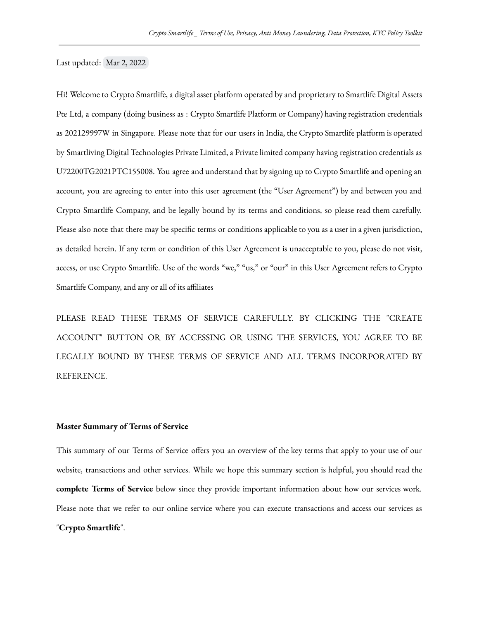Last updated: Mar 2, 2022

Hi! Welcome to Crypto Smartlife, a digital asset platform operated by and proprietary to Smartlife Digital Assets Pte Ltd, a company (doing business as : Crypto Smartlife Platform or Company) having registration credentials as 202129997W in Singapore. Please note that for our users in India, the Crypto Smartlife platform is operated by Smartliving Digital Technologies Private Limited, a Private limited company having registration credentials as U72200TG2021PTC155008. You agree and understand that by signing up to Crypto Smartlife and opening an account, you are agreeing to enter into this user agreement (the "User Agreement") by and between you and Crypto Smartlife Company, and be legally bound by its terms and conditions, so please read them carefully. Please also note that there may be specific terms or conditions applicable to you as a user in a given jurisdiction, as detailed herein. If any term or condition of this User Agreement is unacceptable to you, please do not visit, access, or use Crypto Smartlife. Use of the words "we," "us," or "our" in this User Agreement refers to Crypto Smartlife Company, and any or all of its affiliates

PLEASE READ THESE TERMS OF SERVICE CAREFULLY. BY CLICKING THE "CREATE ACCOUNT" BUTTON OR BY ACCESSING OR USING THE SERVICES, YOU AGREE TO BE LEGALLY BOUND BY THESE TERMS OF SERVICE AND ALL TERMS INCORPORATED BY REFERENCE.

#### **Master Summary of Terms of Service**

This summary of our Terms of Service offers you an overview of the key terms that apply to your use of our website, transactions and other services. While we hope this summary section is helpful, you should read the **complete Terms of Service** below since they provide important information about how our services work. Please note that we refer to our online service where you can execute transactions and access our services as "**Crypto Smartlife**".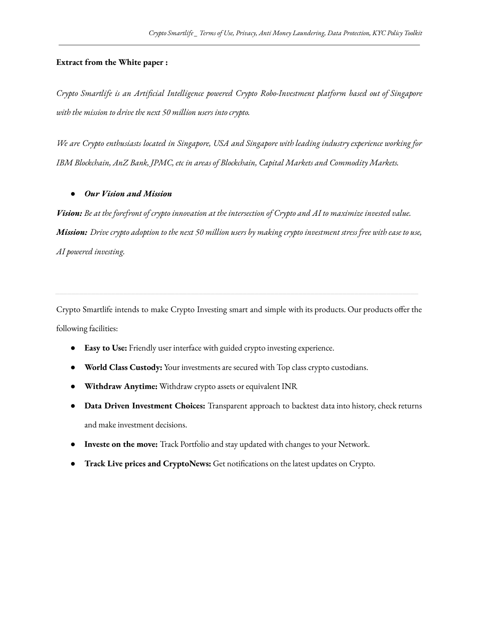## **Extract from the White paper :**

*Crypto Smartlife is an Artificial Intelligence powered Crypto Robo-Investment platform based out of Singapore with the mission to drive the next 50 million users into crypto.*

*We are Crypto enthusiasts located in Singapore, USA and Singapore with leading industry experience working for IBM Blockchain, AnZ Bank, JPMC, etc in areas of Blockchain, Capital Markets and Commodity Markets.*

### *● Our Vision and Mission*

Vision: Be at the forefront of crypto innovation at the intersection of Crypto and AI to maximize invested value. Mission: Drive crypto adoption to the next 50 million users by making crypto investment stress free with ease to use, *AI powered investing.*

Crypto Smartlife intends to make Crypto Investing smart and simple with its products. Our products offer the following facilities:

- **Easy to Use:** Friendly user interface with guided crypto investing experience.
- **World Class Custody:** Your investments are secured with Top class crypto custodians.
- **Withdraw Anytime:** Withdraw crypto assets or equivalent INR
- **Data Driven Investment Choices:** Transparent approach to backtest data into history, check returns and make investment decisions.
- **Investe on the move:** Track Portfolio and stay updated with changes to your Network.
- **Track Live prices and CryptoNews:** Get notifications on the latest updates on Crypto.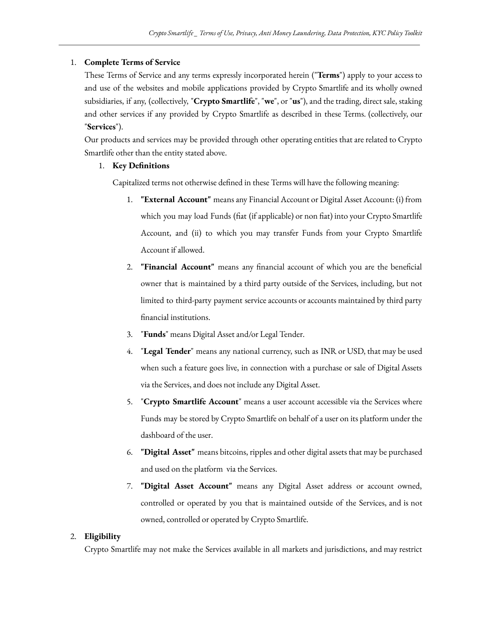# 1. **Complete Terms of Service**

These Terms of Service and any terms expressly incorporated herein ("**Terms**") apply to your access to and use of the websites and mobile applications provided by Crypto Smartlife and its wholly owned subsidiaries, if any, (collectively, "**Crypto Smartlife**", "**we**", or "**us**"), and the trading, direct sale, staking and other services if any provided by Crypto Smartlife as described in these Terms. (collectively, our "**Services**").

Our products and services may be provided through other operating entities that are related to Crypto Smartlife other than the entity stated above.

# 1. **Key Definitions**

Capitalized terms not otherwise defined in these Terms will have the following meaning:

- 1. **"External Account"** means any Financial Account or Digital Asset Account: (i) from which you may load Funds (fiat (if applicable) or non fiat) into your Crypto Smartlife Account, and (ii) to which you may transfer Funds from your Crypto Smartlife Account if allowed.
- 2. **"Financial Account"** means any financial account of which you are the beneficial owner that is maintained by a third party outside of the Services, including, but not limited to third-party payment service accounts or accounts maintained by third party financial institutions.
- 3. "**Funds**" means Digital Asset and/or Legal Tender.
- 4. "**Legal Tender**" means any national currency, such as INR or USD, that may be used when such a feature goes live, in connection with a purchase or sale of Digital Assets via the Services, and does not include any Digital Asset.
- 5. "**Crypto Smartlife Account**" means a user account accessible via the Services where Funds may be stored by Crypto Smartlife on behalf of a user on its platform under the dashboard of the user.
- 6. **"Digital Asset"** means bitcoins, ripples and other digital assets that may be purchased and used on the platform via the Services.
- 7. **"Digital Asset Account"** means any Digital Asset address or account owned, controlled or operated by you that is maintained outside of the Services, and is not owned, controlled or operated by Crypto Smartlife.

# 2. **Eligibility**

Crypto Smartlife may not make the Services available in all markets and jurisdictions, and may restrict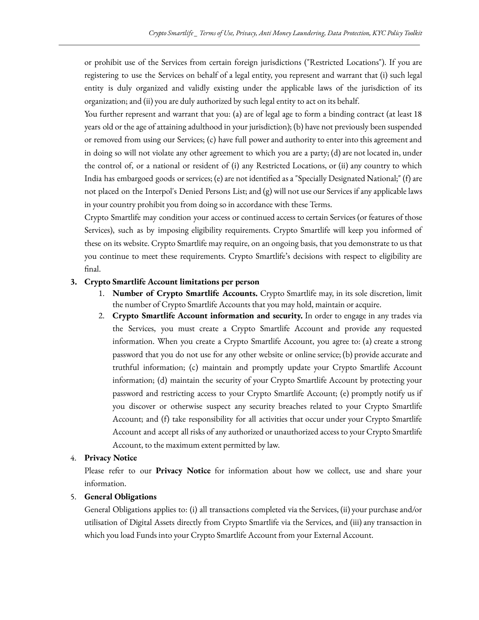or prohibit use of the Services from certain foreign jurisdictions ("Restricted Locations"). If you are registering to use the Services on behalf of a legal entity, you represent and warrant that (i) such legal entity is duly organized and validly existing under the applicable laws of the jurisdiction of its organization; and (ii) you are duly authorized by such legal entity to act on its behalf.

You further represent and warrant that you: (a) are of legal age to form a binding contract (at least 18 years old or the age of attaining adulthood in your jurisdiction); (b) have not previously been suspended or removed from using our Services; (c) have full power and authority to enter into this agreement and in doing so will not violate any other agreement to which you are a party; (d) are not located in, under the control of, or a national or resident of (i) any Restricted Locations, or (ii) any country to which India has embargoed goods or services; (e) are not identified as a "Specially Designated National;" (f) are not placed on the Interpol's Denied Persons List; and (g) will not use our Services if any applicable laws in your country prohibit you from doing so in accordance with these Terms.

Crypto Smartlife may condition your access or continued access to certain Services (or features of those Services), such as by imposing eligibility requirements. Crypto Smartlife will keep you informed of these on its website. Crypto Smartlife may require, on an ongoing basis, that you demonstrate to us that you continue to meet these requirements. Crypto Smartlife's decisions with respect to eligibility are final.

## **3. Crypto Smartlife Account limitations per person**

- 1. **Number of Crypto Smartlife Accounts.** Crypto Smartlife may, in its sole discretion, limit the number of Crypto Smartlife Accounts that you may hold, maintain or acquire.
- 2. **Crypto Smartlife Account information and security.** In order to engage in any trades via the Services, you must create a Crypto Smartlife Account and provide any requested information. When you create a Crypto Smartlife Account, you agree to: (a) create a strong password that you do not use for any other website or online service; (b) provide accurate and truthful information; (c) maintain and promptly update your Crypto Smartlife Account information; (d) maintain the security of your Crypto Smartlife Account by protecting your password and restricting access to your Crypto Smartlife Account; (e) promptly notify us if you discover or otherwise suspect any security breaches related to your Crypto Smartlife Account; and (f) take responsibility for all activities that occur under your Crypto Smartlife Account and accept all risks of any authorized or unauthorized access to your Crypto Smartlife Account, to the maximum extent permitted by law.

### 4. **Privacy Notice**

Please refer to our **Privacy Notice** for information about how we collect, use and share your information.

## 5. **General Obligations**

General Obligations applies to: (i) all transactions completed via the Services, (ii) your purchase and/or utilisation of Digital Assets directly from Crypto Smartlife via the Services, and (iii) any transaction in which you load Funds into your Crypto Smartlife Account from your External Account.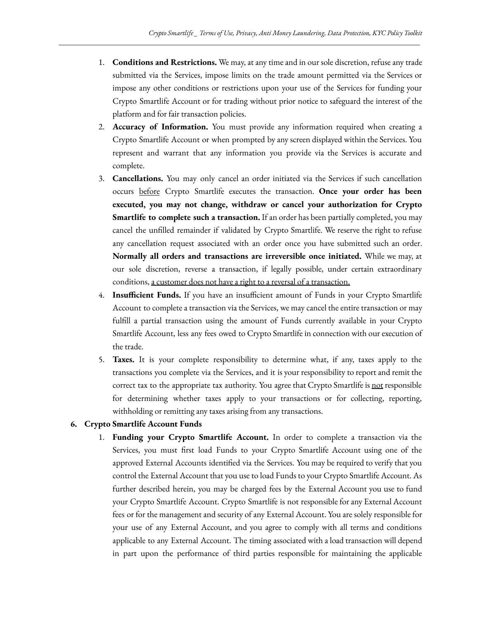- 1. **Conditions and Restrictions.** We may, at any time and in our sole discretion, refuse any trade submitted via the Services, impose limits on the trade amount permitted via the Services or impose any other conditions or restrictions upon your use of the Services for funding your Crypto Smartlife Account or for trading without prior notice to safeguard the interest of the platform and for fair transaction policies.
- 2. **Accuracy of Information.** You must provide any information required when creating a Crypto Smartlife Account or when prompted by any screen displayed within the Services. You represent and warrant that any information you provide via the Services is accurate and complete.
- 3. **Cancellations.** You may only cancel an order initiated via the Services if such cancellation occurs before Crypto Smartlife executes the transaction. **Once your order has been executed, you may not change, withdraw or cancel your authorization for Crypto Smartlife to complete such a transaction.** If an order has been partially completed, you may cancel the unfilled remainder if validated by Crypto Smartlife. We reserve the right to refuse any cancellation request associated with an order once you have submitted such an order. **Normally all orders and transactions are irreversible once initiated.** While we may, at our sole discretion, reverse a transaction, if legally possible, under certain extraordinary conditions, a customer does not have a right to a reversal of a transaction.
- 4. **Insufficient Funds.** If you have an insufficient amount of Funds in your Crypto Smartlife Account to complete a transaction via the Services, we may cancel the entire transaction or may fulfill a partial transaction using the amount of Funds currently available in your Crypto Smartlife Account, less any fees owed to Crypto Smartlife in connection with our execution of the trade.
- 5. **Taxes.** It is your complete responsibility to determine what, if any, taxes apply to the transactions you complete via the Services, and it is your responsibility to report and remit the correct tax to the appropriate tax authority. You agree that Crypto Smartlife is not responsible for determining whether taxes apply to your transactions or for collecting, reporting, withholding or remitting any taxes arising from any transactions.

# **6. Crypto Smartlife Account Funds**

1. **Funding your Crypto Smartlife Account.** In order to complete a transaction via the Services, you must first load Funds to your Crypto Smartlife Account using one of the approved External Accounts identified via the Services. You may be required to verify that you control the External Account that you use to load Funds to your Crypto Smartlife Account. As further described herein, you may be charged fees by the External Account you use to fund your Crypto Smartlife Account. Crypto Smartlife is not responsible for any External Account fees or for the management and security of any External Account. You are solely responsible for your use of any External Account, and you agree to comply with all terms and conditions applicable to any External Account. The timing associated with a load transaction will depend in part upon the performance of third parties responsible for maintaining the applicable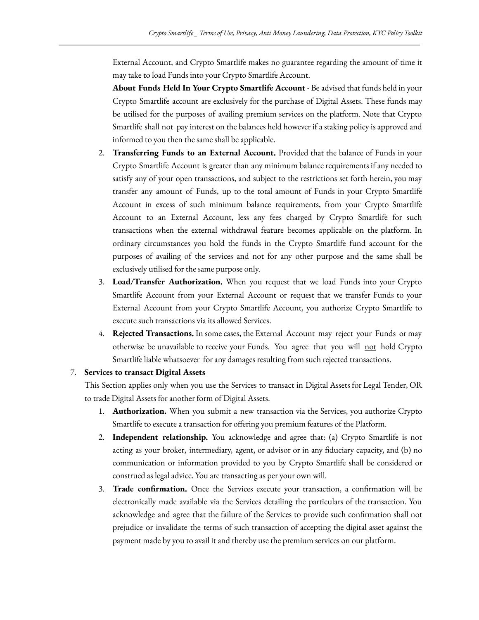External Account, and Crypto Smartlife makes no guarantee regarding the amount of time it may take to load Funds into your Crypto Smartlife Account.

**About Funds Held In Your Crypto Smartlife Account** - Be advised that funds held in your Crypto Smartlife account are exclusively for the purchase of Digital Assets. These funds may be utilised for the purposes of availing premium services on the platform. Note that Crypto Smartlife shall not pay interest on the balances held however if a staking policy is approved and informed to you then the same shall be applicable.

- 2. **Transferring Funds to an External Account.** Provided that the balance of Funds in your Crypto Smartlife Account is greater than any minimum balance requirements if any needed to satisfy any of your open transactions, and subject to the restrictions set forth herein, you may transfer any amount of Funds, up to the total amount of Funds in your Crypto Smartlife Account in excess of such minimum balance requirements, from your Crypto Smartlife Account to an External Account, less any fees charged by Crypto Smartlife for such transactions when the external withdrawal feature becomes applicable on the platform. In ordinary circumstances you hold the funds in the Crypto Smartlife fund account for the purposes of availing of the services and not for any other purpose and the same shall be exclusively utilised for the same purpose only.
- 3. **Load/Transfer Authorization.** When you request that we load Funds into your Crypto Smartlife Account from your External Account or request that we transfer Funds to your External Account from your Crypto Smartlife Account, you authorize Crypto Smartlife to execute such transactions via its allowed Services.
- 4. **Rejected Transactions.** In some cases, the External Account may reject your Funds or may otherwise be unavailable to receive your Funds. You agree that you will not hold Crypto Smartlife liable whatsoever for any damages resulting from such rejected transactions.

# 7. **Services to transact Digital Assets**

This Section applies only when you use the Services to transact in Digital Assets for Legal Tender, OR to trade Digital Assets for another form of Digital Assets.

- 1. **Authorization.** When you submit a new transaction via the Services, you authorize Crypto Smartlife to execute a transaction for offering you premium features of the Platform.
- 2. **Independent relationship.** You acknowledge and agree that: (a) Crypto Smartlife is not acting as your broker, intermediary, agent, or advisor or in any fiduciary capacity, and (b) no communication or information provided to you by Crypto Smartlife shall be considered or construed as legal advice. You are transacting as per your own will.
- 3. **Trade confirmation.** Once the Services execute your transaction, a confirmation will be electronically made available via the Services detailing the particulars of the transaction. You acknowledge and agree that the failure of the Services to provide such confirmation shall not prejudice or invalidate the terms of such transaction of accepting the digital asset against the payment made by you to avail it and thereby use the premium services on our platform.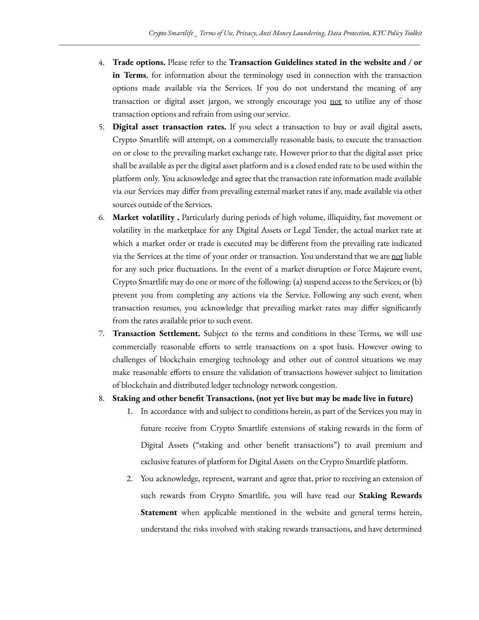- 4. **Trade options.** Please refer to the **Transaction Guidelines stated in the website and / or in Terms**, for information about the terminology used in connection with the transaction options made available via the Services. If you do not understand the meaning of any transaction or digital asset jargon, we strongly encourage you not to utilize any of those transaction options and refrain from using our service.
- 5. **Digital asset transaction rates.** If you select a transaction to buy or avail digital assets, Crypto Smartlife will attempt, on a commercially reasonable basis, to execute the transaction on or close to the prevailing market exchange rate. However prior to that the digital asset price shall be available as per the digital asset platform and is a closed ended rate to be used within the platform only. You acknowledge and agree that the transaction rate information made available via our Services may differ from prevailing external market rates if any, made available via other sources outside of the Services.
- 6. **Market volatility .** Particularly during periods of high volume, illiquidity, fast movement or volatility in the marketplace for any Digital Assets or Legal Tender, the actual market rate at which a market order or trade is executed may be different from the prevailing rate indicated via the Services at the time of your order or transaction. You understand that we are not liable for any such price fluctuations. In the event of a market disruption or Force Majeure event, Crypto Smartlife may do one or more of the following: (a) suspend access to the Services; or (b) prevent you from completing any actions via the Service. Following any such event, when transaction resumes, you acknowledge that prevailing market rates may differ significantly from the rates available prior to such event.
- 7. **Transaction Settlement.** Subject to the terms and conditions in these Terms, we will use commercially reasonable efforts to settle transactions on a spot basis. However owing to challenges of blockchain emerging technology and other out of control situations we may make reasonable efforts to ensure the validation of transactions however subject to limitation of blockchain and distributed ledger technology network congestion.
- 8. **Staking and other benefit Transactions. (not yet live but may be made live in future)**
	- 1. In accordance with and subject to conditions herein, as part of the Services you may in future receive from Crypto Smartlife extensions of staking rewards in the form of Digital Assets ("staking and other benefit transactions") to avail premium and exclusive features of platform for Digital Assets on the Crypto Smartlife platform.
	- 2. You acknowledge, represent, warrant and agree that, prior to receiving an extension of such rewards from Crypto Smartlife, you will have read our **Staking Rewards Statement** when applicable mentioned in the website and general terms herein, understand the risks involved with staking rewards transactions, and have determined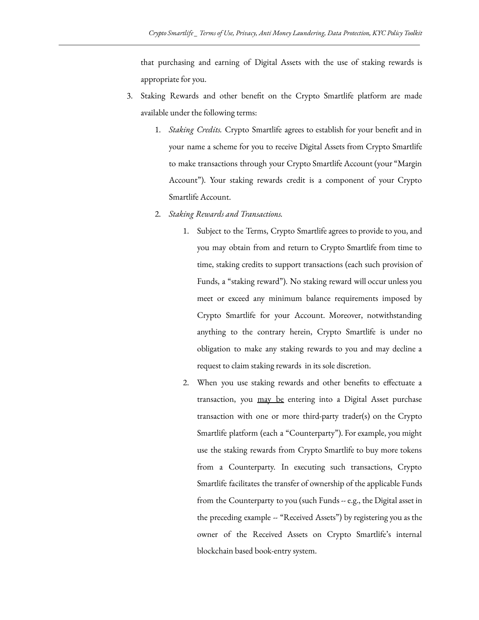that purchasing and earning of Digital Assets with the use of staking rewards is appropriate for you.

- 3. Staking Rewards and other benefit on the Crypto Smartlife platform are made available under the following terms:
	- 1. *Staking Credits.* Crypto Smartlife agrees to establish for your benefit and in your name a scheme for you to receive Digital Assets from Crypto Smartlife to make transactions through your Crypto Smartlife Account (your "Margin Account"). Your staking rewards credit is a component of your Crypto Smartlife Account.
	- 2. *Staking Rewards and Transactions.*
		- 1. Subject to the Terms, Crypto Smartlife agrees to provide to you, and you may obtain from and return to Crypto Smartlife from time to time, staking credits to support transactions (each such provision of Funds, a "staking reward"). No staking reward will occur unless you meet or exceed any minimum balance requirements imposed by Crypto Smartlife for your Account. Moreover, notwithstanding anything to the contrary herein, Crypto Smartlife is under no obligation to make any staking rewards to you and may decline a request to claim staking rewards in its sole discretion.
		- 2. When you use staking rewards and other benefits to effectuate a transaction, you may be entering into a Digital Asset purchase transaction with one or more third-party trader(s) on the Crypto Smartlife platform (each a "Counterparty"). For example, you might use the staking rewards from Crypto Smartlife to buy more tokens from a Counterparty. In executing such transactions, Crypto Smartlife facilitates the transfer of ownership of the applicable Funds from the Counterparty to you (such Funds -- e.g., the Digital asset in the preceding example -- "Received Assets") by registering you as the owner of the Received Assets on Crypto Smartlife's internal blockchain based book-entry system.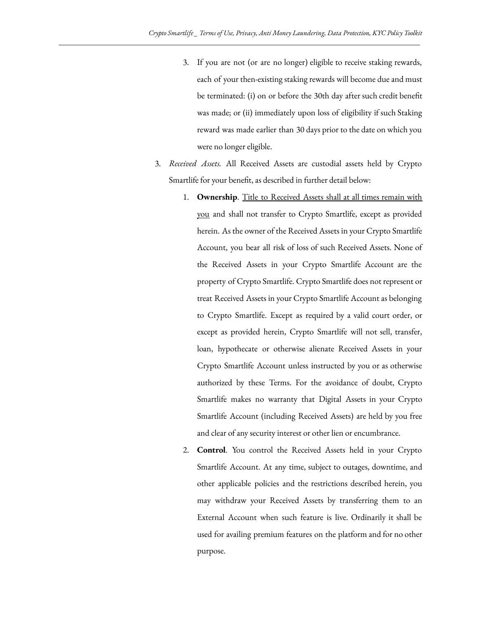- 3. If you are not (or are no longer) eligible to receive staking rewards, each of your then-existing staking rewards will become due and must be terminated: (i) on or before the 30th day after such credit benefit was made; or (ii) immediately upon loss of eligibility if such Staking reward was made earlier than 30 days prior to the date on which you were no longer eligible.
- 3. *Received Assets.* All Received Assets are custodial assets held by Crypto Smartlife for your benefit, as described in further detail below:
	- 1. **Ownership**. Title to Received Assets shall at all times remain with you and shall not transfer to Crypto Smartlife, except as provided herein. As the owner of the Received Assets in your Crypto Smartlife Account, you bear all risk of loss of such Received Assets. None of the Received Assets in your Crypto Smartlife Account are the property of Crypto Smartlife. Crypto Smartlife does not represent or treat Received Assets in your Crypto Smartlife Account as belonging to Crypto Smartlife. Except as required by a valid court order, or except as provided herein, Crypto Smartlife will not sell, transfer, loan, hypothecate or otherwise alienate Received Assets in your Crypto Smartlife Account unless instructed by you or as otherwise authorized by these Terms. For the avoidance of doubt, Crypto Smartlife makes no warranty that Digital Assets in your Crypto Smartlife Account (including Received Assets) are held by you free and clear of any security interest or other lien or encumbrance.
	- 2. **Control**. You control the Received Assets held in your Crypto Smartlife Account. At any time, subject to outages, downtime, and other applicable policies and the restrictions described herein, you may withdraw your Received Assets by transferring them to an External Account when such feature is live. Ordinarily it shall be used for availing premium features on the platform and for no other purpose.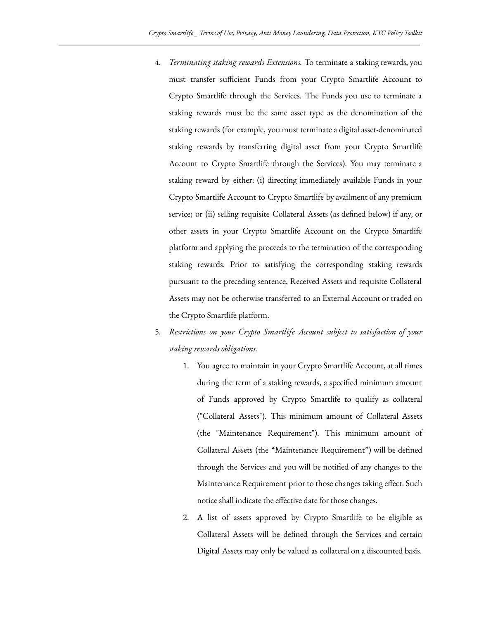- 4. *Terminating staking rewards Extensions.* To terminate a staking rewards, you must transfer sufficient Funds from your Crypto Smartlife Account to Crypto Smartlife through the Services. The Funds you use to terminate a staking rewards must be the same asset type as the denomination of the staking rewards (for example, you must terminate a digital asset-denominated staking rewards by transferring digital asset from your Crypto Smartlife Account to Crypto Smartlife through the Services). You may terminate a staking reward by either: (i) directing immediately available Funds in your Crypto Smartlife Account to Crypto Smartlife by availment of any premium service; or (ii) selling requisite Collateral Assets (as defined below) if any, or other assets in your Crypto Smartlife Account on the Crypto Smartlife platform and applying the proceeds to the termination of the corresponding staking rewards. Prior to satisfying the corresponding staking rewards pursuant to the preceding sentence, Received Assets and requisite Collateral Assets may not be otherwise transferred to an External Account or traded on the Crypto Smartlife platform.
- 5. *Restrictions on your Crypto Smartlife Account subject to satisfaction of your staking rewards obligations.*
	- 1. You agree to maintain in your Crypto Smartlife Account, at all times during the term of a staking rewards, a specified minimum amount of Funds approved by Crypto Smartlife to qualify as collateral ("Collateral Assets"). This minimum amount of Collateral Assets (the "Maintenance Requirement"). This minimum amount of Collateral Assets (the "Maintenance Requirement") will be defined through the Services and you will be notified of any changes to the Maintenance Requirement prior to those changes taking effect. Such notice shall indicate the effective date for those changes.
	- 2. A list of assets approved by Crypto Smartlife to be eligible as Collateral Assets will be defined through the Services and certain Digital Assets may only be valued as collateral on a discounted basis.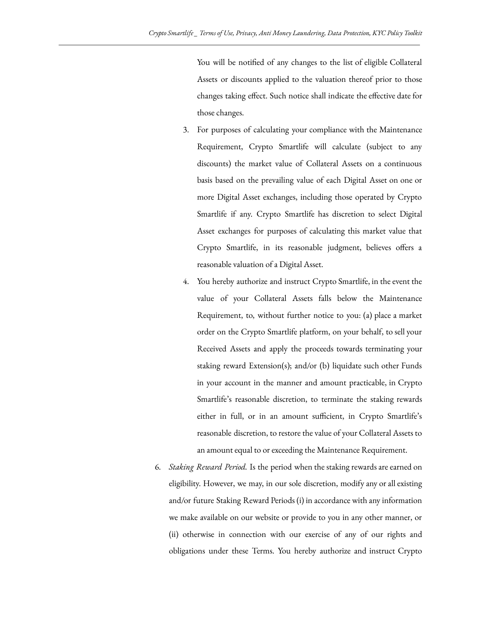You will be notified of any changes to the list of eligible Collateral Assets or discounts applied to the valuation thereof prior to those changes taking effect. Such notice shall indicate the effective date for those changes.

- 3. For purposes of calculating your compliance with the Maintenance Requirement, Crypto Smartlife will calculate (subject to any discounts) the market value of Collateral Assets on a continuous basis based on the prevailing value of each Digital Asset on one or more Digital Asset exchanges, including those operated by Crypto Smartlife if any. Crypto Smartlife has discretion to select Digital Asset exchanges for purposes of calculating this market value that Crypto Smartlife, in its reasonable judgment, believes offers a reasonable valuation of a Digital Asset.
- 4. You hereby authorize and instruct Crypto Smartlife, in the event the value of your Collateral Assets falls below the Maintenance Requirement, to, without further notice to you: (a) place a market order on the Crypto Smartlife platform, on your behalf, to sell your Received Assets and apply the proceeds towards terminating your staking reward Extension(s); and/or (b) liquidate such other Funds in your account in the manner and amount practicable, in Crypto Smartlife's reasonable discretion, to terminate the staking rewards either in full, or in an amount sufficient, in Crypto Smartlife's reasonable discretion, to restore the value of your Collateral Assets to an amount equal to or exceeding the Maintenance Requirement.
- 6. *Staking Reward Period.* Is the period when the staking rewards are earned on eligibility. However, we may, in our sole discretion, modify any or all existing and/or future Staking Reward Periods (i) in accordance with any information we make available on our website or provide to you in any other manner, or (ii) otherwise in connection with our exercise of any of our rights and obligations under these Terms. You hereby authorize and instruct Crypto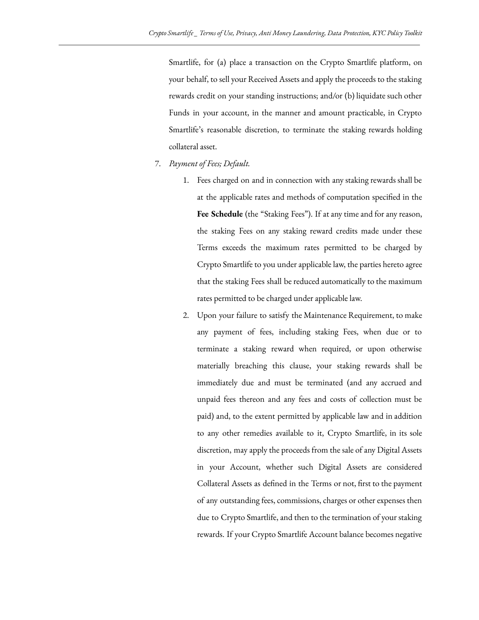Smartlife, for (a) place a transaction on the Crypto Smartlife platform, on your behalf, to sell your Received Assets and apply the proceeds to the staking rewards credit on your standing instructions; and/or (b) liquidate such other Funds in your account, in the manner and amount practicable, in Crypto Smartlife's reasonable discretion, to terminate the staking rewards holding collateral asset.

- 7. *Payment of Fees; Default.*
	- 1. Fees charged on and in connection with any staking rewards shall be at the applicable rates and methods of computation specified in the **Fee Schedule** (the "Staking Fees"). If at any time and for any reason, the staking Fees on any staking reward credits made under these Terms exceeds the maximum rates permitted to be charged by Crypto Smartlife to you under applicable law, the parties hereto agree that the staking Fees shall be reduced automatically to the maximum rates permitted to be charged under applicable law.
	- 2. Upon your failure to satisfy the Maintenance Requirement, to make any payment of fees, including staking Fees, when due or to terminate a staking reward when required, or upon otherwise materially breaching this clause, your staking rewards shall be immediately due and must be terminated (and any accrued and unpaid fees thereon and any fees and costs of collection must be paid) and, to the extent permitted by applicable law and in addition to any other remedies available to it, Crypto Smartlife, in its sole discretion, may apply the proceeds from the sale of any Digital Assets in your Account, whether such Digital Assets are considered Collateral Assets as defined in the Terms or not, first to the payment of any outstanding fees, commissions, charges or other expenses then due to Crypto Smartlife, and then to the termination of your staking rewards. If your Crypto Smartlife Account balance becomes negative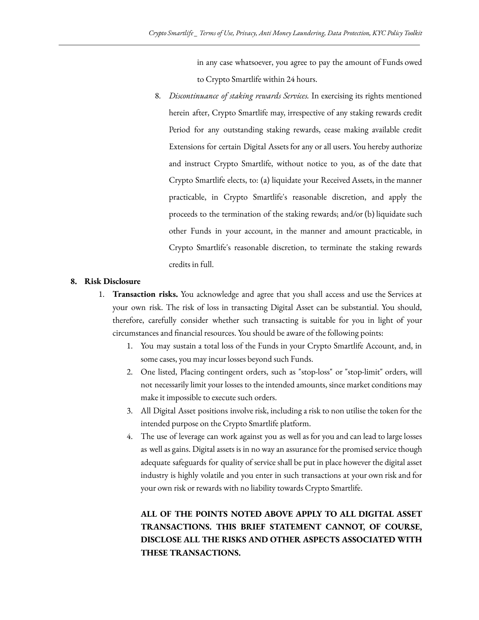in any case whatsoever, you agree to pay the amount of Funds owed to Crypto Smartlife within 24 hours.

8. *Discontinuance of staking rewards Services.* In exercising its rights mentioned herein after, Crypto Smartlife may, irrespective of any staking rewards credit Period for any outstanding staking rewards, cease making available credit Extensions for certain Digital Assets for any or all users. You hereby authorize and instruct Crypto Smartlife, without notice to you, as of the date that Crypto Smartlife elects, to: (a) liquidate your Received Assets, in the manner practicable, in Crypto Smartlife's reasonable discretion, and apply the proceeds to the termination of the staking rewards; and/or (b) liquidate such other Funds in your account, in the manner and amount practicable, in Crypto Smartlife's reasonable discretion, to terminate the staking rewards credits in full.

#### **8. Risk Disclosure**

- 1. **Transaction risks.** You acknowledge and agree that you shall access and use the Services at your own risk. The risk of loss in transacting Digital Asset can be substantial. You should, therefore, carefully consider whether such transacting is suitable for you in light of your circumstances and financial resources. You should be aware of the following points:
	- 1. You may sustain a total loss of the Funds in your Crypto Smartlife Account, and, in some cases, you may incur losses beyond such Funds.
	- 2. One listed, Placing contingent orders, such as "stop-loss" or "stop-limit" orders, will not necessarily limit your losses to the intended amounts, since market conditions may make it impossible to execute such orders.
	- 3. All Digital Asset positions involve risk, including a risk to non utilise the token for the intended purpose on the Crypto Smartlife platform.
	- 4. The use of leverage can work against you as well as for you and can lead to large losses as well as gains. Digital assets is in no way an assurance for the promised service though adequate safeguards for quality of service shall be put in place however the digital asset industry is highly volatile and you enter in such transactions at your own risk and for your own risk or rewards with no liability towards Crypto Smartlife.

**ALL OF THE POINTS NOTED ABOVE APPLY TO ALL DIGITAL ASSET TRANSACTIONS. THIS BRIEF STATEMENT CANNOT, OF COURSE, DISCLOSE ALL THE RISKS AND OTHER ASPECTS ASSOCIATED WITH THESE TRANSACTIONS.**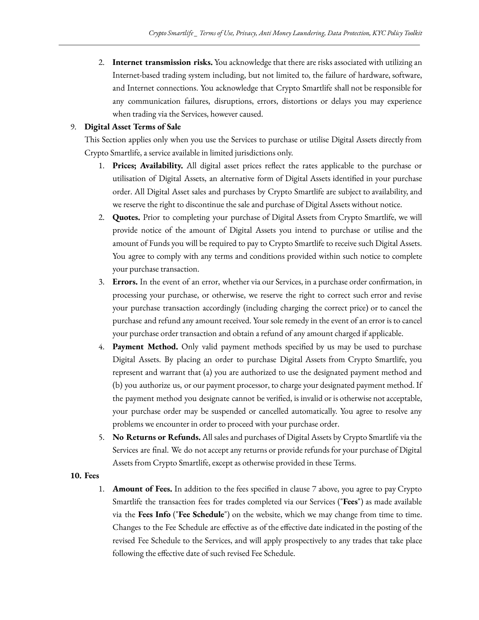2. **Internet transmission risks.** You acknowledge that there are risks associated with utilizing an Internet-based trading system including, but not limited to, the failure of hardware, software, and Internet connections. You acknowledge that Crypto Smartlife shall not be responsible for any communication failures, disruptions, errors, distortions or delays you may experience when trading via the Services, however caused.

# 9. **Digital Asset Terms of Sale**

This Section applies only when you use the Services to purchase or utilise Digital Assets directly from Crypto Smartlife, a service available in limited jurisdictions only.

- 1. **Prices; Availability.** All digital asset prices reflect the rates applicable to the purchase or utilisation of Digital Assets, an alternative form of Digital Assets identified in your purchase order. All Digital Asset sales and purchases by Crypto Smartlife are subject to availability, and we reserve the right to discontinue the sale and purchase of Digital Assets without notice.
- 2. **Quotes.** Prior to completing your purchase of Digital Assets from Crypto Smartlife, we will provide notice of the amount of Digital Assets you intend to purchase or utilise and the amount of Funds you will be required to pay to Crypto Smartlife to receive such Digital Assets. You agree to comply with any terms and conditions provided within such notice to complete your purchase transaction.
- 3. **Errors.** In the event of an error, whether via our Services, in a purchase order confirmation, in processing your purchase, or otherwise, we reserve the right to correct such error and revise your purchase transaction accordingly (including charging the correct price) or to cancel the purchase and refund any amount received. Your sole remedy in the event of an error is to cancel your purchase order transaction and obtain a refund of any amount charged if applicable.
- 4. **Payment Method.** Only valid payment methods specified by us may be used to purchase Digital Assets. By placing an order to purchase Digital Assets from Crypto Smartlife, you represent and warrant that (a) you are authorized to use the designated payment method and (b) you authorize us, or our payment processor, to charge your designated payment method. If the payment method you designate cannot be verified, is invalid or is otherwise not acceptable, your purchase order may be suspended or cancelled automatically. You agree to resolve any problems we encounter in order to proceed with your purchase order.
- 5. **No Returns or Refunds.** All sales and purchases of Digital Assets by Crypto Smartlife via the Services are final. We do not accept any returns or provide refunds for your purchase of Digital Assets from Crypto Smartlife, except as otherwise provided in these Terms.

## **10. Fees**

1. **Amount of Fees.** In addition to the fees specified in clause 7 above, you agree to pay Crypto Smartlife the transaction fees for trades completed via our Services ("**Fees**") as made available via the **Fees Info** ("**Fee Schedule**") on the website, which we may change from time to time. Changes to the Fee Schedule are effective as of the effective date indicated in the posting of the revised Fee Schedule to the Services, and will apply prospectively to any trades that take place following the effective date of such revised Fee Schedule.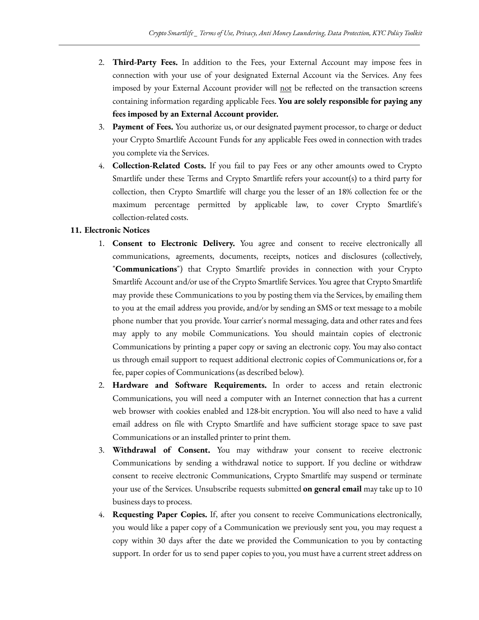- 2. **Third-Party Fees.** In addition to the Fees, your External Account may impose fees in connection with your use of your designated External Account via the Services. Any fees imposed by your External Account provider will not be reflected on the transaction screens containing information regarding applicable Fees. **You are solely responsible for paying any fees imposed by an External Account provider.**
- 3. **Payment of Fees.** You authorize us, or our designated payment processor, to charge or deduct your Crypto Smartlife Account Funds for any applicable Fees owed in connection with trades you complete via the Services.
- 4. **Collection-Related Costs.** If you fail to pay Fees or any other amounts owed to Crypto Smartlife under these Terms and Crypto Smartlife refers your account(s) to a third party for collection, then Crypto Smartlife will charge you the lesser of an 18% collection fee or the maximum percentage permitted by applicable law, to cover Crypto Smartlife's collection-related costs.

# **11. Electronic Notices**

- 1. **Consent to Electronic Delivery.** You agree and consent to receive electronically all communications, agreements, documents, receipts, notices and disclosures (collectively, "**Communications**") that Crypto Smartlife provides in connection with your Crypto Smartlife Account and/or use of the Crypto Smartlife Services. You agree that Crypto Smartlife may provide these Communications to you by posting them via the Services, by emailing them to you at the email address you provide, and/or by sending an SMS or text message to a mobile phone number that you provide. Your carrier's normal messaging, data and other rates and fees may apply to any mobile Communications. You should maintain copies of electronic Communications by printing a paper copy or saving an electronic copy. You may also contact us through email support to request additional electronic copies of Communications or, for a fee, paper copies of Communications (as described below).
- 2. **Hardware and Software Requirements.** In order to access and retain electronic Communications, you will need a computer with an Internet connection that has a current web browser with cookies enabled and 128-bit encryption. You will also need to have a valid email address on file with Crypto Smartlife and have sufficient storage space to save past Communications or an installed printer to print them.
- 3. **Withdrawal of Consent.** You may withdraw your consent to receive electronic Communications by sending a withdrawal notice to support. If you decline or withdraw consent to receive electronic Communications, Crypto Smartlife may suspend or terminate your use of the Services. Unsubscribe requests submitted **on general email** may take up to 10 business days to process.
- 4. **Requesting Paper Copies.** If, after you consent to receive Communications electronically, you would like a paper copy of a Communication we previously sent you, you may request a copy within 30 days after the date we provided the Communication to you by contacting support. In order for us to send paper copies to you, you must have a current street address on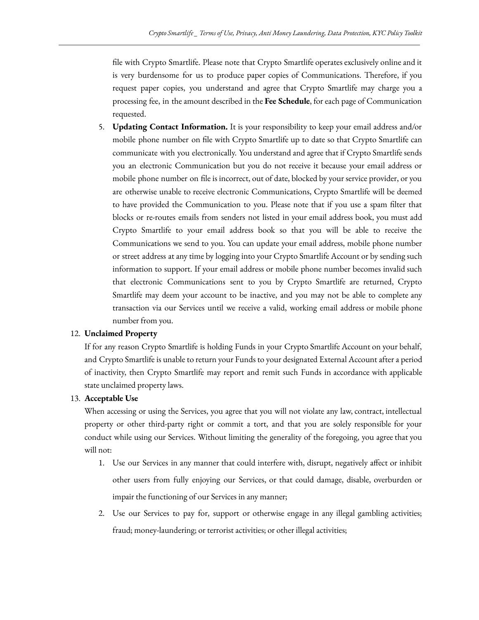file with Crypto Smartlife. Please note that Crypto Smartlife operates exclusively online and it is very burdensome for us to produce paper copies of Communications. Therefore, if you request paper copies, you understand and agree that Crypto Smartlife may charge you a processing fee, in the amount described in the **Fee Schedule**, for each page of Communication requested.

5. **Updating Contact Information.** It is your responsibility to keep your email address and/or mobile phone number on file with Crypto Smartlife up to date so that Crypto Smartlife can communicate with you electronically. You understand and agree that if Crypto Smartlife sends you an electronic Communication but you do not receive it because your email address or mobile phone number on file is incorrect, out of date, blocked by your service provider, or you are otherwise unable to receive electronic Communications, Crypto Smartlife will be deemed to have provided the Communication to you. Please note that if you use a spam filter that blocks or re-routes emails from senders not listed in your email address book, you must add Crypto Smartlife to your email address book so that you will be able to receive the Communications we send to you. You can update your email address, mobile phone number or street address at any time by logging into your Crypto Smartlife Account or by sending such information to support. If your email address or mobile phone number becomes invalid such that electronic Communications sent to you by Crypto Smartlife are returned, Crypto Smartlife may deem your account to be inactive, and you may not be able to complete any transaction via our Services until we receive a valid, working email address or mobile phone number from you.

# 12. **Unclaimed Property**

If for any reason Crypto Smartlife is holding Funds in your Crypto Smartlife Account on your behalf, and Crypto Smartlife is unable to return your Funds to your designated External Account after a period of inactivity, then Crypto Smartlife may report and remit such Funds in accordance with applicable state unclaimed property laws.

# 13. **Acceptable Use**

When accessing or using the Services, you agree that you will not violate any law, contract, intellectual property or other third-party right or commit a tort, and that you are solely responsible for your conduct while using our Services. Without limiting the generality of the foregoing, you agree that you will not:

- 1. Use our Services in any manner that could interfere with, disrupt, negatively affect or inhibit other users from fully enjoying our Services, or that could damage, disable, overburden or impair the functioning of our Services in any manner;
- 2. Use our Services to pay for, support or otherwise engage in any illegal gambling activities; fraud; money-laundering; or terrorist activities; or other illegal activities;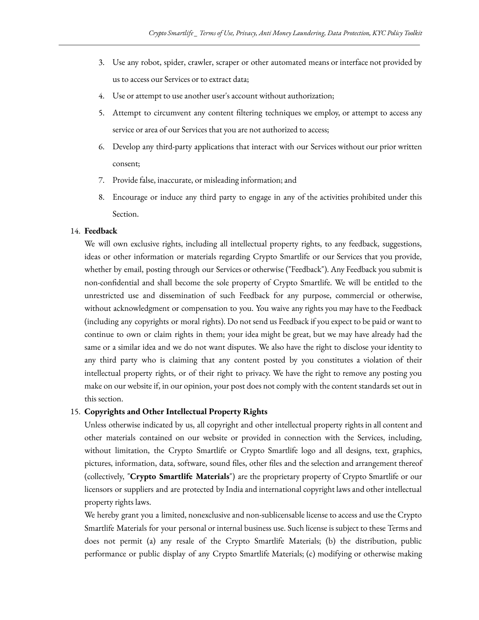- 3. Use any robot, spider, crawler, scraper or other automated means or interface not provided by us to access our Services or to extract data;
- 4. Use or attempt to use another user's account without authorization;
- 5. Attempt to circumvent any content filtering techniques we employ, or attempt to access any service or area of our Services that you are not authorized to access;
- 6. Develop any third-party applications that interact with our Services without our prior written consent;
- 7. Provide false, inaccurate, or misleading information; and
- 8. Encourage or induce any third party to engage in any of the activities prohibited under this Section.

#### 14. **Feedback**

We will own exclusive rights, including all intellectual property rights, to any feedback, suggestions, ideas or other information or materials regarding Crypto Smartlife or our Services that you provide, whether by email, posting through our Services or otherwise ("Feedback"). Any Feedback you submit is non-confidential and shall become the sole property of Crypto Smartlife. We will be entitled to the unrestricted use and dissemination of such Feedback for any purpose, commercial or otherwise, without acknowledgment or compensation to you. You waive any rights you may have to the Feedback (including any copyrights or moral rights). Do not send us Feedback if you expect to be paid or want to continue to own or claim rights in them; your idea might be great, but we may have already had the same or a similar idea and we do not want disputes. We also have the right to disclose your identity to any third party who is claiming that any content posted by you constitutes a violation of their intellectual property rights, or of their right to privacy. We have the right to remove any posting you make on our website if, in our opinion, your post does not comply with the content standards set out in this section.

#### 15. **Copyrights and Other Intellectual Property Rights**

Unless otherwise indicated by us, all copyright and other intellectual property rights in all content and other materials contained on our website or provided in connection with the Services, including, without limitation, the Crypto Smartlife or Crypto Smartlife logo and all designs, text, graphics, pictures, information, data, software, sound files, other files and the selection and arrangement thereof (collectively, "**Crypto Smartlife Materials**") are the proprietary property of Crypto Smartlife or our licensors or suppliers and are protected by India and international copyright laws and other intellectual property rights laws.

We hereby grant you a limited, nonexclusive and non-sublicensable license to access and use the Crypto Smartlife Materials for your personal or internal business use. Such license is subject to these Terms and does not permit (a) any resale of the Crypto Smartlife Materials; (b) the distribution, public performance or public display of any Crypto Smartlife Materials; (c) modifying or otherwise making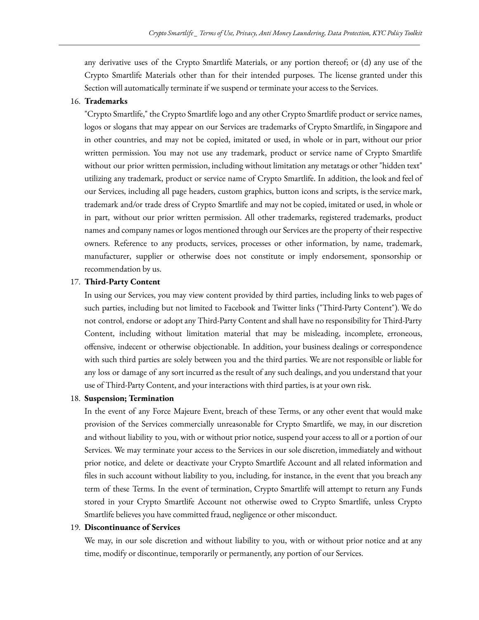any derivative uses of the Crypto Smartlife Materials, or any portion thereof; or (d) any use of the Crypto Smartlife Materials other than for their intended purposes. The license granted under this Section will automatically terminate if we suspend or terminate your access to the Services.

#### 16. **Trademarks**

"Crypto Smartlife," the Crypto Smartlife logo and any other Crypto Smartlife product or service names, logos or slogans that may appear on our Services are trademarks of Crypto Smartlife, in Singapore and in other countries, and may not be copied, imitated or used, in whole or in part, without our prior written permission. You may not use any trademark, product or service name of Crypto Smartlife without our prior written permission, including without limitation any metatags or other "hidden text" utilizing any trademark, product or service name of Crypto Smartlife. In addition, the look and feel of our Services, including all page headers, custom graphics, button icons and scripts, is the service mark, trademark and/or trade dress of Crypto Smartlife and may not be copied, imitated or used, in whole or in part, without our prior written permission. All other trademarks, registered trademarks, product names and company names or logos mentioned through our Services are the property of their respective owners. Reference to any products, services, processes or other information, by name, trademark, manufacturer, supplier or otherwise does not constitute or imply endorsement, sponsorship or recommendation by us.

## 17. **Third-Party Content**

In using our Services, you may view content provided by third parties, including links to web pages of such parties, including but not limited to Facebook and Twitter links ("Third-Party Content"). We do not control, endorse or adopt any Third-Party Content and shall have no responsibility for Third-Party Content, including without limitation material that may be misleading, incomplete, erroneous, offensive, indecent or otherwise objectionable. In addition, your business dealings or correspondence with such third parties are solely between you and the third parties. We are not responsible or liable for any loss or damage of any sort incurred as the result of any such dealings, and you understand that your use of Third-Party Content, and your interactions with third parties, is at your own risk.

#### 18. **Suspension; Termination**

In the event of any Force Majeure Event, breach of these Terms, or any other event that would make provision of the Services commercially unreasonable for Crypto Smartlife, we may, in our discretion and without liability to you, with or without prior notice, suspend your access to all or a portion of our Services. We may terminate your access to the Services in our sole discretion, immediately and without prior notice, and delete or deactivate your Crypto Smartlife Account and all related information and files in such account without liability to you, including, for instance, in the event that you breach any term of these Terms. In the event of termination, Crypto Smartlife will attempt to return any Funds stored in your Crypto Smartlife Account not otherwise owed to Crypto Smartlife, unless Crypto Smartlife believes you have committed fraud, negligence or other misconduct.

#### 19. **Discontinuance of Services**

We may, in our sole discretion and without liability to you, with or without prior notice and at any time, modify or discontinue, temporarily or permanently, any portion of our Services.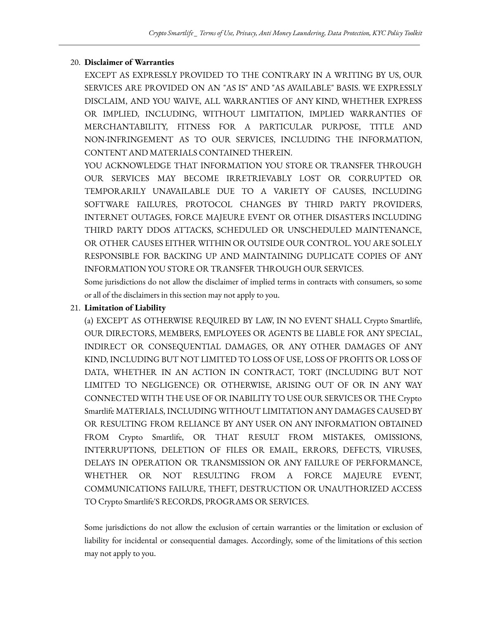# 20. **Disclaimer of Warranties**

EXCEPT AS EXPRESSLY PROVIDED TO THE CONTRARY IN A WRITING BY US, OUR SERVICES ARE PROVIDED ON AN "AS IS" AND "AS AVAILABLE" BASIS. WE EXPRESSLY DISCLAIM, AND YOU WAIVE, ALL WARRANTIES OF ANY KIND, WHETHER EXPRESS OR IMPLIED, INCLUDING, WITHOUT LIMITATION, IMPLIED WARRANTIES OF MERCHANTABILITY, FITNESS FOR A PARTICULAR PURPOSE, TITLE AND NON-INFRINGEMENT AS TO OUR SERVICES, INCLUDING THE INFORMATION, CONTENT AND MATERIALS CONTAINED THEREIN.

YOU ACKNOWLEDGE THAT INFORMATION YOU STORE OR TRANSFER THROUGH OUR SERVICES MAY BECOME IRRETRIEVABLY LOST OR CORRUPTED OR TEMPORARILY UNAVAILABLE DUE TO A VARIETY OF CAUSES, INCLUDING SOFTWARE FAILURES, PROTOCOL CHANGES BY THIRD PARTY PROVIDERS, INTERNET OUTAGES, FORCE MAJEURE EVENT OR OTHER DISASTERS INCLUDING THIRD PARTY DDOS ATTACKS, SCHEDULED OR UNSCHEDULED MAINTENANCE, OR OTHER CAUSES EITHER WITHIN OR OUTSIDE OUR CONTROL. YOU ARE SOLELY RESPONSIBLE FOR BACKING UP AND MAINTAINING DUPLICATE COPIES OF ANY INFORMATION YOU STORE OR TRANSFER THROUGH OUR SERVICES.

Some jurisdictions do not allow the disclaimer of implied terms in contracts with consumers, so some or all of the disclaimers in this section may not apply to you.

# 21. **Limitation of Liability**

(a) EXCEPT AS OTHERWISE REQUIRED BY LAW, IN NO EVENT SHALL Crypto Smartlife, OUR DIRECTORS, MEMBERS, EMPLOYEES OR AGENTS BE LIABLE FOR ANY SPECIAL, INDIRECT OR CONSEQUENTIAL DAMAGES, OR ANY OTHER DAMAGES OF ANY KIND, INCLUDING BUT NOT LIMITED TO LOSS OF USE, LOSS OF PROFITS OR LOSS OF DATA, WHETHER IN AN ACTION IN CONTRACT, TORT (INCLUDING BUT NOT LIMITED TO NEGLIGENCE) OR OTHERWISE, ARISING OUT OF OR IN ANY WAY CONNECTED WITH THE USE OF OR INABILITY TO USE OUR SERVICES OR THE Crypto Smartlife MATERIALS, INCLUDING WITHOUT LIMITATION ANY DAMAGES CAUSED BY OR RESULTING FROM RELIANCE BY ANY USER ON ANY INFORMATION OBTAINED FROM Crypto Smartlife, OR THAT RESULT FROM MISTAKES, OMISSIONS, INTERRUPTIONS, DELETION OF FILES OR EMAIL, ERRORS, DEFECTS, VIRUSES, DELAYS IN OPERATION OR TRANSMISSION OR ANY FAILURE OF PERFORMANCE, WHETHER OR NOT RESULTING FROM A FORCE MAJEURE EVENT, COMMUNICATIONS FAILURE, THEFT, DESTRUCTION OR UNAUTHORIZED ACCESS TO Crypto Smartlife'S RECORDS, PROGRAMS OR SERVICES.

Some jurisdictions do not allow the exclusion of certain warranties or the limitation or exclusion of liability for incidental or consequential damages. Accordingly, some of the limitations of this section may not apply to you.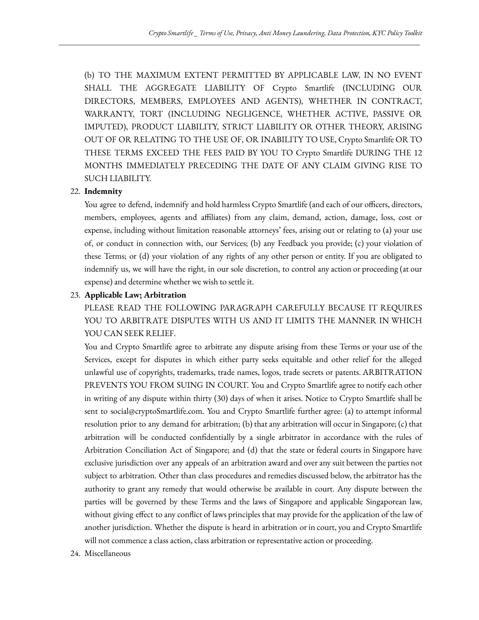(b) TO THE MAXIMUM EXTENT PERMITTED BY APPLICABLE LAW, IN NO EVENT SHALL THE AGGREGATE LIABILITY OF Crypto Smartlife (INCLUDING OUR DIRECTORS, MEMBERS, EMPLOYEES AND AGENTS), WHETHER IN CONTRACT, WARRANTY, TORT (INCLUDING NEGLIGENCE, WHETHER ACTIVE, PASSIVE OR IMPUTED), PRODUCT LIABILITY, STRICT LIABILITY OR OTHER THEORY, ARISING OUT OF OR RELATING TO THE USE OF, OR INABILITY TO USE, Crypto Smartlife OR TO THESE TERMS EXCEED THE FEES PAID BY YOU TO Crypto Smartlife DURING THE 12 MONTHS IMMEDIATELY PRECEDING THE DATE OF ANY CLAIM GIVING RISE TO SUCH LIABILITY.

## 22. **Indemnity**

You agree to defend, indemnify and hold harmless Crypto Smartlife (and each of our officers, directors, members, employees, agents and affiliates) from any claim, demand, action, damage, loss, cost or expense, including without limitation reasonable attorneys' fees, arising out or relating to (a) your use of, or conduct in connection with, our Services; (b) any Feedback you provide; (c) your violation of these Terms; or (d) your violation of any rights of any other person or entity. If you are obligated to indemnify us, we will have the right, in our sole discretion, to control any action or proceeding (at our expense) and determine whether we wish to settle it.

## 23. **Applicable Law; Arbitration**

PLEASE READ THE FOLLOWING PARAGRAPH CAREFULLY BECAUSE IT REQUIRES YOU TO ARBITRATE DISPUTES WITH US AND IT LIMITS THE MANNER IN WHICH YOU CAN SEEK RELIEF.

You and Crypto Smartlife agree to arbitrate any dispute arising from these Terms or your use of the Services, except for disputes in which either party seeks equitable and other relief for the alleged unlawful use of copyrights, trademarks, trade names, logos, trade secrets or patents. ARBITRATION PREVENTS YOU FROM SUING IN COURT. You and Crypto Smartlife agree to notify each other in writing of any dispute within thirty (30) days of when it arises. Notice to Crypto Smartlife shall be sent to social@cryptoSmartlife.com. You and Crypto Smartlife further agree: (a) to attempt informal resolution prior to any demand for arbitration; (b) that any arbitration will occur in Singapore; (c) that arbitration will be conducted confidentially by a single arbitrator in accordance with the rules of Arbitration Conciliation Act of Singapore; and (d) that the state or federal courts in Singapore have exclusive jurisdiction over any appeals of an arbitration award and over any suit between the parties not subject to arbitration. Other than class procedures and remedies discussed below, the arbitrator has the authority to grant any remedy that would otherwise be available in court. Any dispute between the parties will be governed by these Terms and the laws of Singapore and applicable Singaporean law, without giving effect to any conflict of laws principles that may provide for the application of the law of another jurisdiction. Whether the dispute is heard in arbitration or in court, you and Crypto Smartlife will not commence a class action, class arbitration or representative action or proceeding.

24. Miscellaneous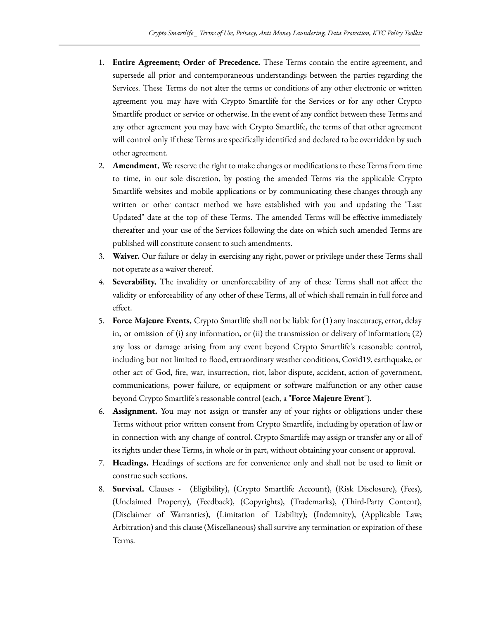- 1. **Entire Agreement; Order of Precedence.** These Terms contain the entire agreement, and supersede all prior and contemporaneous understandings between the parties regarding the Services. These Terms do not alter the terms or conditions of any other electronic or written agreement you may have with Crypto Smartlife for the Services or for any other Crypto Smartlife product or service or otherwise. In the event of any conflict between these Terms and any other agreement you may have with Crypto Smartlife, the terms of that other agreement will control only if these Terms are specifically identified and declared to be overridden by such other agreement.
- 2. **Amendment.** We reserve the right to make changes or modifications to these Terms from time to time, in our sole discretion, by posting the amended Terms via the applicable Crypto Smartlife websites and mobile applications or by communicating these changes through any written or other contact method we have established with you and updating the "Last Updated" date at the top of these Terms. The amended Terms will be effective immediately thereafter and your use of the Services following the date on which such amended Terms are published will constitute consent to such amendments.
- 3. **Waiver.** Our failure or delay in exercising any right, power or privilege under these Terms shall not operate as a waiver thereof.
- 4. **Severability.** The invalidity or unenforceability of any of these Terms shall not affect the validity or enforceability of any other of these Terms, all of which shall remain in full force and effect.
- 5. **Force Majeure Events.** Crypto Smartlife shall not be liable for (1) any inaccuracy, error, delay in, or omission of (i) any information, or (ii) the transmission or delivery of information;  $(2)$ any loss or damage arising from any event beyond Crypto Smartlife's reasonable control, including but not limited to flood, extraordinary weather conditions, Covid19, earthquake, or other act of God, fire, war, insurrection, riot, labor dispute, accident, action of government, communications, power failure, or equipment or software malfunction or any other cause beyond Crypto Smartlife's reasonable control (each, a "**Force Majeure Event**").
- 6. **Assignment.** You may not assign or transfer any of your rights or obligations under these Terms without prior written consent from Crypto Smartlife, including by operation of law or in connection with any change of control. Crypto Smartlife may assign or transfer any or all of its rights under these Terms, in whole or in part, without obtaining your consent or approval.
- 7. **Headings.** Headings of sections are for convenience only and shall not be used to limit or construe such sections.
- 8. **Survival.** Clauses (Eligibility), (Crypto Smartlife Account), (Risk Disclosure), (Fees), (Unclaimed Property), (Feedback), (Copyrights), (Trademarks), (Third-Party Content), (Disclaimer of Warranties), (Limitation of Liability); (Indemnity), (Applicable Law; Arbitration) and this clause (Miscellaneous) shall survive any termination or expiration of these Terms.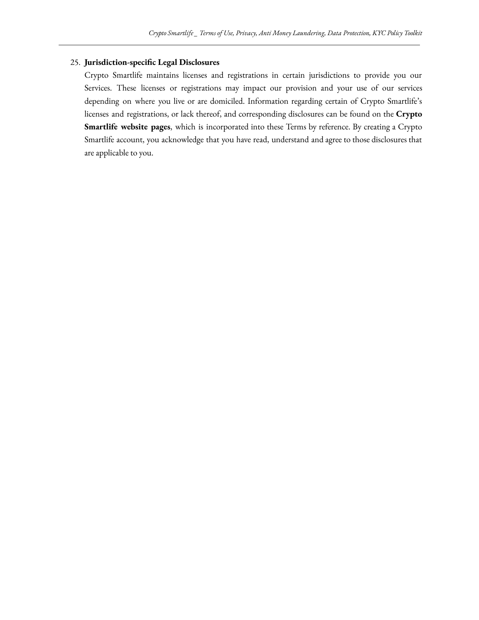## 25. **Jurisdiction-specific Legal Disclosures**

Crypto Smartlife maintains licenses and registrations in certain jurisdictions to provide you our Services. These licenses or registrations may impact our provision and your use of our services depending on where you live or are domiciled. Information regarding certain of Crypto Smartlife's licenses and registrations, or lack thereof, and corresponding disclosures can be found on the **Crypto Smartlife website pages**, which is incorporated into these Terms by reference. By creating a Crypto Smartlife account, you acknowledge that you have read, understand and agree to those disclosures that are applicable to you.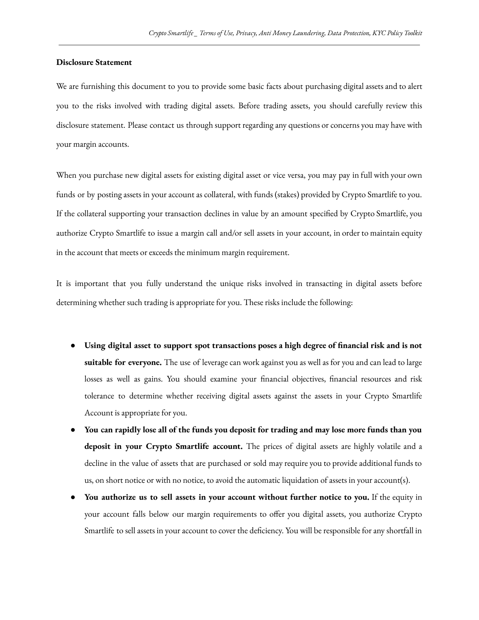## **Disclosure Statement**

We are furnishing this document to you to provide some basic facts about purchasing digital assets and to alert you to the risks involved with trading digital assets. Before trading assets, you should carefully review this disclosure statement. Please contact us through support regarding any questions or concerns you may have with your margin accounts.

When you purchase new digital assets for existing digital asset or vice versa, you may pay in full with your own funds or by posting assets in your account as collateral, with funds (stakes) provided by Crypto Smartlife to you. If the collateral supporting your transaction declines in value by an amount specified by Crypto Smartlife, you authorize Crypto Smartlife to issue a margin call and/or sell assets in your account, in order to maintain equity in the account that meets or exceeds the minimum margin requirement.

It is important that you fully understand the unique risks involved in transacting in digital assets before determining whether such trading is appropriate for you. These risks include the following:

- **Using digital asset to support spot transactions poses a high degree of financial risk and is not suitable for everyone.** The use of leverage can work against you as well as for you and can lead to large losses as well as gains. You should examine your financial objectives, financial resources and risk tolerance to determine whether receiving digital assets against the assets in your Crypto Smartlife Account is appropriate for you.
- You can rapidly lose all of the funds you deposit for trading and may lose more funds than you **deposit in your Crypto Smartlife account.** The prices of digital assets are highly volatile and a decline in the value of assets that are purchased or sold may require you to provide additional funds to us, on short notice or with no notice, to avoid the automatic liquidation of assets in your account(s).
- **You authorize us to sell assets in your account without further notice to you.** If the equity in your account falls below our margin requirements to offer you digital assets, you authorize Crypto Smartlife to sell assets in your account to cover the deficiency. You will be responsible for any shortfall in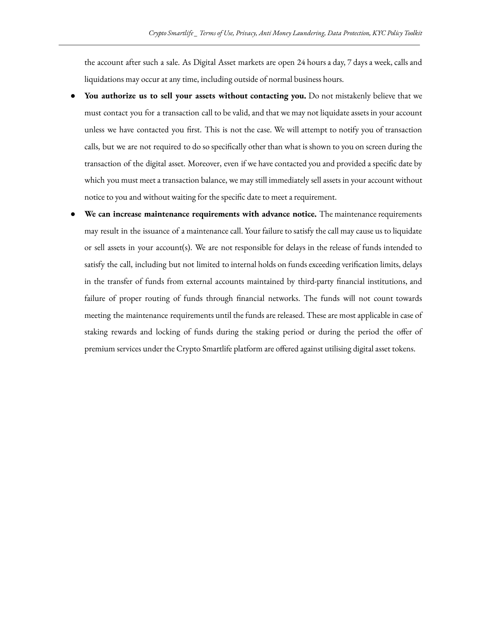the account after such a sale. As Digital Asset markets are open 24 hours a day, 7 days a week, calls and liquidations may occur at any time, including outside of normal business hours.

- **You authorize us to sell your assets without contacting you.** Do not mistakenly believe that we must contact you for a transaction call to be valid, and that we may not liquidate assets in your account unless we have contacted you first. This is not the case. We will attempt to notify you of transaction calls, but we are not required to do so specifically other than what is shown to you on screen during the transaction of the digital asset. Moreover, even if we have contacted you and provided a specific date by which you must meet a transaction balance, we may still immediately sell assets in your account without notice to you and without waiting for the specific date to meet a requirement.
- **We can increase maintenance requirements with advance notice.** The maintenance requirements may result in the issuance of a maintenance call. Your failure to satisfy the call may cause us to liquidate or sell assets in your account(s). We are not responsible for delays in the release of funds intended to satisfy the call, including but not limited to internal holds on funds exceeding verification limits, delays in the transfer of funds from external accounts maintained by third-party financial institutions, and failure of proper routing of funds through financial networks. The funds will not count towards meeting the maintenance requirements until the funds are released. These are most applicable in case of staking rewards and locking of funds during the staking period or during the period the offer of premium services under the Crypto Smartlife platform are offered against utilising digital asset tokens.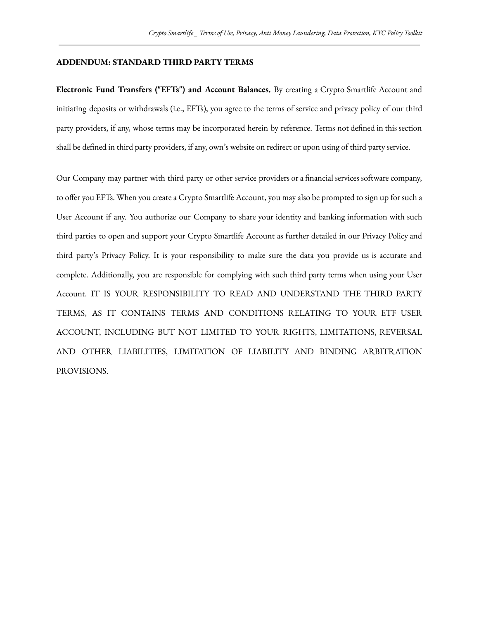### **ADDENDUM: STANDARD THIRD PARTY TERMS**

**Electronic Fund Transfers ("EFTs") and Account Balances.** By creating a Crypto Smartlife Account and initiating deposits or withdrawals (i.e., EFTs), you agree to the terms of service and privacy policy of our third party providers, if any, whose terms may be incorporated herein by reference. Terms not defined in this section shall be defined in third party providers, if any, own's website on redirect or upon using of third party service.

Our Company may partner with third party or other service providers or a financial services software company, to offer you EFTs. When you create a Crypto Smartlife Account, you may also be prompted to sign up for such a User Account if any. You authorize our Company to share your identity and banking information with such third parties to open and support your Crypto Smartlife Account as further detailed in our Privacy Policy and third party's Privacy Policy. It is your responsibility to make sure the data you provide us is accurate and complete. Additionally, you are responsible for complying with such third party terms when using your User Account. IT IS YOUR RESPONSIBILITY TO READ AND UNDERSTAND THE THIRD PARTY TERMS, AS IT CONTAINS TERMS AND CONDITIONS RELATING TO YOUR ETF USER ACCOUNT, INCLUDING BUT NOT LIMITED TO YOUR RIGHTS, LIMITATIONS, REVERSAL AND OTHER LIABILITIES, LIMITATION OF LIABILITY AND BINDING ARBITRATION PROVISIONS.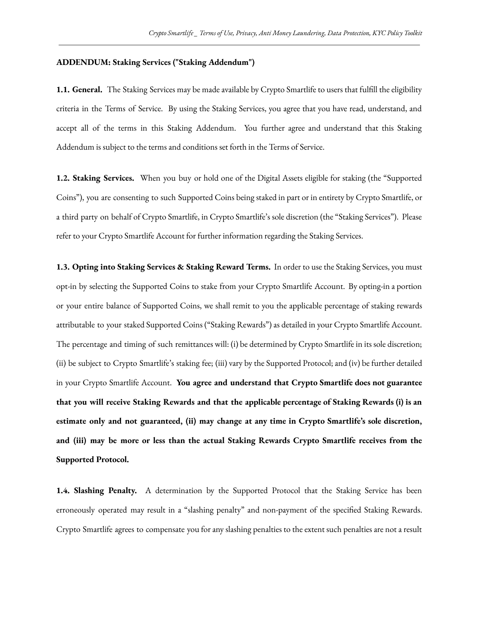### **ADDENDUM: Staking Services ("Staking Addendum")**

**1.1. General.** The Staking Services may be made available by Crypto Smartlife to users that fulfill the eligibility criteria in the Terms of Service. By using the Staking Services, you agree that you have read, understand, and accept all of the terms in this Staking Addendum. You further agree and understand that this Staking Addendum is subject to the terms and conditions set forth in the Terms of Service.

**1.2. Staking Services.** When you buy or hold one of the Digital Assets eligible for staking (the "Supported Coins"), you are consenting to such Supported Coins being staked in part or in entirety by Crypto Smartlife, or a third party on behalf of Crypto Smartlife, in Crypto Smartlife's sole discretion (the "Staking Services"). Please refer to your Crypto Smartlife Account for further information regarding the Staking Services.

**1.3. Opting into Staking Services & Staking Reward Terms.** In order to use the Staking Services, you must opt-in by selecting the Supported Coins to stake from your Crypto Smartlife Account. By opting-in a portion or your entire balance of Supported Coins, we shall remit to you the applicable percentage of staking rewards attributable to your staked Supported Coins ("Staking Rewards") as detailed in your Crypto Smartlife Account. The percentage and timing of such remittances will: (i) be determined by Crypto Smartlife in its sole discretion; (ii) be subject to Crypto Smartlife's staking fee; (iii) vary by the Supported Protocol; and (iv) be further detailed in your Crypto Smartlife Account. **You agree and understand that Crypto Smartlife does not guarantee that you will receive Staking Rewards and that the applicable percentage of Staking Rewards (i) is an estimate only and not guaranteed, (ii) may change at any time in Crypto Smartlife's sole discretion, and (iii) may be more or less than the actual Staking Rewards Crypto Smartlife receives from the Supported Protocol.**

**1.4. Slashing Penalty.** A determination by the Supported Protocol that the Staking Service has been erroneously operated may result in a "slashing penalty" and non-payment of the specified Staking Rewards. Crypto Smartlife agrees to compensate you for any slashing penalties to the extent such penalties are not a result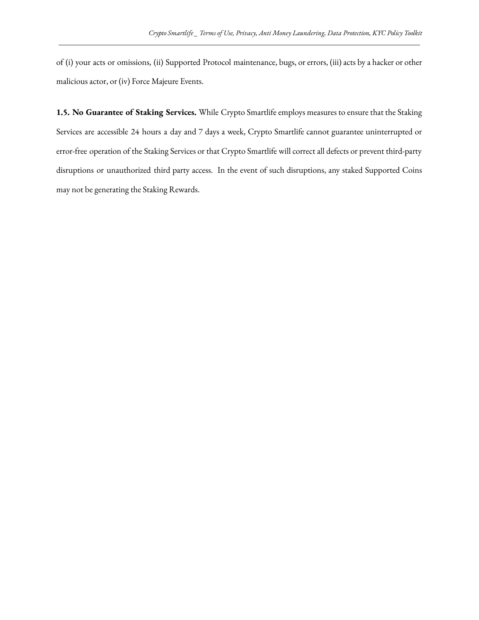of (i) your acts or omissions, (ii) Supported Protocol maintenance, bugs, or errors, (iii) acts by a hacker or other malicious actor, or (iv) Force Majeure Events.

**1.5. No Guarantee of Staking Services.** While Crypto Smartlife employs measures to ensure that the Staking Services are accessible 24 hours a day and 7 days a week, Crypto Smartlife cannot guarantee uninterrupted or error-free operation of the Staking Services or that Crypto Smartlife will correct all defects or prevent third-party disruptions or unauthorized third party access. In the event of such disruptions, any staked Supported Coins may not be generating the Staking Rewards.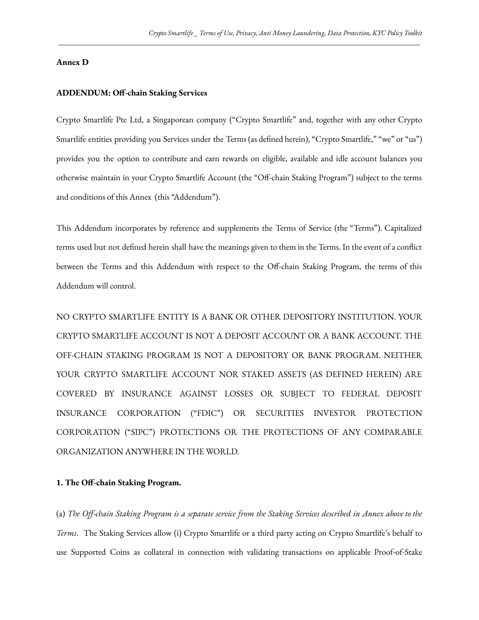## **Annex D**

#### **ADDENDUM: Off-chain Staking Services**

Crypto Smartlife Pte Ltd, a Singaporean company ("Crypto Smartlife" and, together with any other Crypto Smartlife entities providing you Services under the Terms (as defined herein), "Crypto Smartlife," "we" or "us") provides you the option to contribute and earn rewards on eligible, available and idle account balances you otherwise maintain in your Crypto Smartlife Account (the "Off-chain Staking Program") subject to the terms and conditions of this Annex (this "Addendum").

This Addendum incorporates by reference and supplements the Terms of Service (the "Terms"). Capitalized terms used but not defined herein shall have the meanings given to them in the Terms. In the event of a conflict between the Terms and this Addendum with respect to the Off-chain Staking Program, the terms of this Addendum will control.

NO CRYPTO SMARTLIFE ENTITY IS A BANK OR OTHER DEPOSITORY INSTITUTION. YOUR CRYPTO SMARTLIFE ACCOUNT IS NOT A DEPOSIT ACCOUNT OR A BANK ACCOUNT. THE OFF-CHAIN STAKING PROGRAM IS NOT A DEPOSITORY OR BANK PROGRAM. NEITHER YOUR CRYPTO SMARTLIFE ACCOUNT NOR STAKED ASSETS (AS DEFINED HEREIN) ARE COVERED BY INSURANCE AGAINST LOSSES OR SUBJECT TO FEDERAL DEPOSIT INSURANCE CORPORATION ("FDIC") OR SECURITIES INVESTOR PROTECTION CORPORATION ("SIPC") PROTECTIONS OR THE PROTECTIONS OF ANY COMPARABLE ORGANIZATION ANYWHERE IN THE WORLD.

#### **1. The Off-chain Staking Program.**

(a) The Off-chain Staking Program is a separate service from the Staking Services described in Annex above to the *Terms*. The Staking Services allow (i) Crypto Smartlife or a third party acting on Crypto Smartlife's behalf to use Supported Coins as collateral in connection with validating transactions on applicable Proof-of-Stake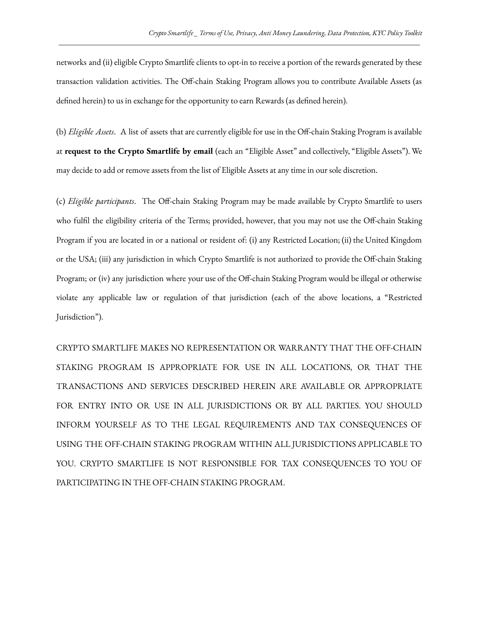networks and (ii) eligible Crypto Smartlife clients to opt-in to receive a portion of the rewards generated by these transaction validation activities. The Off-chain Staking Program allows you to contribute Available Assets (as defined herein) to us in exchange for the opportunity to earn Rewards (as defined herein).

(b) *Eligible Assets*. A list of assets that are currently eligible for use in the Off-chain Staking Program is available at **request to the Crypto Smartlife by email** (each an "Eligible Asset" and collectively, "Eligible Assets"). We may decide to add or remove assets from the list of Eligible Assets at any time in our sole discretion.

(c) *Eligible participants*. The Off-chain Staking Program may be made available by Crypto Smartlife to users who fulfil the eligibility criteria of the Terms; provided, however, that you may not use the Off-chain Staking Program if you are located in or a national or resident of: (i) any Restricted Location; (ii) the United Kingdom or the USA; (iii) any jurisdiction in which Crypto Smartlife is not authorized to provide the Off-chain Staking Program; or (iv) any jurisdiction where your use of the Off-chain Staking Program would be illegal or otherwise violate any applicable law or regulation of that jurisdiction (each of the above locations, a "Restricted Jurisdiction").

CRYPTO SMARTLIFE MAKES NO REPRESENTATION OR WARRANTY THAT THE OFF-CHAIN STAKING PROGRAM IS APPROPRIATE FOR USE IN ALL LOCATIONS, OR THAT THE TRANSACTIONS AND SERVICES DESCRIBED HEREIN ARE AVAILABLE OR APPROPRIATE FOR ENTRY INTO OR USE IN ALL JURISDICTIONS OR BY ALL PARTIES. YOU SHOULD INFORM YOURSELF AS TO THE LEGAL REQUIREMENTS AND TAX CONSEQUENCES OF USING THE OFF-CHAIN STAKING PROGRAM WITHIN ALL JURISDICTIONS APPLICABLE TO YOU. CRYPTO SMARTLIFE IS NOT RESPONSIBLE FOR TAX CONSEQUENCES TO YOU OF PARTICIPATING IN THE OFF-CHAIN STAKING PROGRAM.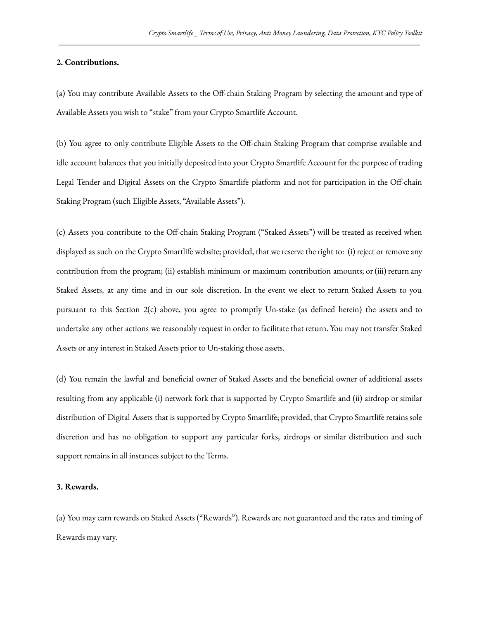## **2. Contributions.**

(a) You may contribute Available Assets to the Off-chain Staking Program by selecting the amount and type of Available Assets you wish to "stake" from your Crypto Smartlife Account.

(b) You agree to only contribute Eligible Assets to the Off-chain Staking Program that comprise available and idle account balances that you initially deposited into your Crypto Smartlife Account for the purpose of trading Legal Tender and Digital Assets on the Crypto Smartlife platform and not for participation in the Off-chain Staking Program (such Eligible Assets, "Available Assets").

(c) Assets you contribute to the Off-chain Staking Program ("Staked Assets") will be treated as received when displayed as such on the Crypto Smartlife website; provided, that we reserve the right to: (i) reject or remove any contribution from the program; (ii) establish minimum or maximum contribution amounts; or (iii) return any Staked Assets, at any time and in our sole discretion. In the event we elect to return Staked Assets to you pursuant to this Section 2(c) above, you agree to promptly Un-stake (as defined herein) the assets and to undertake any other actions we reasonably request in order to facilitate that return. You may not transfer Staked Assets or any interest in Staked Assets prior to Un-staking those assets.

(d) You remain the lawful and beneficial owner of Staked Assets and the beneficial owner of additional assets resulting from any applicable (i) network fork that is supported by Crypto Smartlife and (ii) airdrop or similar distribution of Digital Assets that is supported by Crypto Smartlife; provided, that Crypto Smartlife retains sole discretion and has no obligation to support any particular forks, airdrops or similar distribution and such support remains in all instances subject to the Terms.

#### **3. Rewards.**

(a) You may earn rewards on Staked Assets ("Rewards"). Rewards are not guaranteed and the rates and timing of Rewards may vary.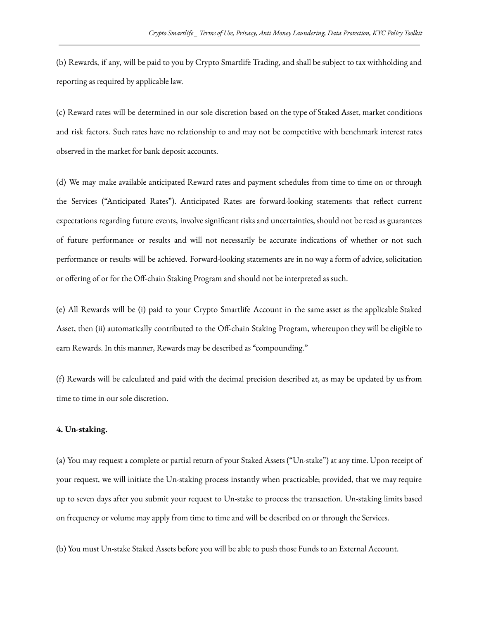(b) Rewards, if any, will be paid to you by Crypto Smartlife Trading, and shall be subject to tax withholding and reporting as required by applicable law.

(c) Reward rates will be determined in our sole discretion based on the type of Staked Asset, market conditions and risk factors. Such rates have no relationship to and may not be competitive with benchmark interest rates observed in the market for bank deposit accounts.

(d) We may make available anticipated Reward rates and payment schedules from time to time on or through the Services ("Anticipated Rates"). Anticipated Rates are forward-looking statements that reflect current expectations regarding future events, involve significant risks and uncertainties, should not be read as guarantees of future performance or results and will not necessarily be accurate indications of whether or not such performance or results will be achieved. Forward-looking statements are in no way a form of advice, solicitation or offering of or for the Off-chain Staking Program and should not be interpreted as such.

(e) All Rewards will be (i) paid to your Crypto Smartlife Account in the same asset as the applicable Staked Asset, then (ii) automatically contributed to the Off-chain Staking Program, whereupon they will be eligible to earn Rewards. In this manner, Rewards may be described as "compounding."

(f) Rewards will be calculated and paid with the decimal precision described at, as may be updated by us from time to time in our sole discretion.

#### **4. Un-staking.**

(a) You may request a complete or partial return of your Staked Assets ("Un-stake") at any time. Upon receipt of your request, we will initiate the Un-staking process instantly when practicable; provided, that we may require up to seven days after you submit your request to Un-stake to process the transaction. Un-staking limits based on frequency or volume may apply from time to time and will be described on or through the Services.

(b) You must Un-stake Staked Assets before you will be able to push those Funds to an External Account.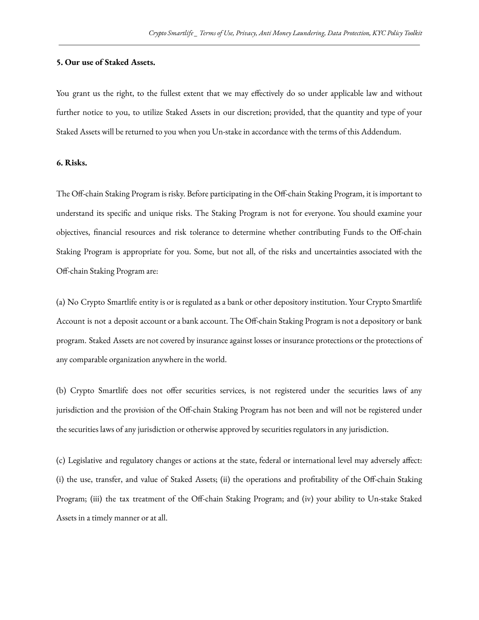## **5. Our use of Staked Assets.**

You grant us the right, to the fullest extent that we may effectively do so under applicable law and without further notice to you, to utilize Staked Assets in our discretion; provided, that the quantity and type of your Staked Assets will be returned to you when you Un-stake in accordance with the terms of this Addendum.

## **6. Risks.**

The Off-chain Staking Program is risky. Before participating in the Off-chain Staking Program, it is important to understand its specific and unique risks. The Staking Program is not for everyone. You should examine your objectives, financial resources and risk tolerance to determine whether contributing Funds to the Off-chain Staking Program is appropriate for you. Some, but not all, of the risks and uncertainties associated with the Off-chain Staking Program are:

(a) No Crypto Smartlife entity is or is regulated as a bank or other depository institution. Your Crypto Smartlife Account is not a deposit account or a bank account. The Off-chain Staking Program is not a depository or bank program. Staked Assets are not covered by insurance against losses or insurance protections or the protections of any comparable organization anywhere in the world.

(b) Crypto Smartlife does not offer securities services, is not registered under the securities laws of any jurisdiction and the provision of the Off-chain Staking Program has not been and will not be registered under the securities laws of any jurisdiction or otherwise approved by securities regulators in any jurisdiction.

(c) Legislative and regulatory changes or actions at the state, federal or international level may adversely affect: (i) the use, transfer, and value of Staked Assets; (ii) the operations and profitability of the Off-chain Staking Program; (iii) the tax treatment of the Off-chain Staking Program; and (iv) your ability to Un-stake Staked Assets in a timely manner or at all.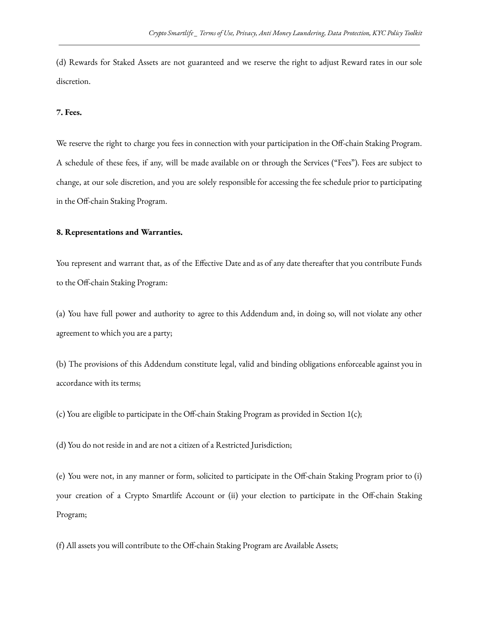(d) Rewards for Staked Assets are not guaranteed and we reserve the right to adjust Reward rates in our sole discretion.

### **7. Fees.**

We reserve the right to charge you fees in connection with your participation in the Off-chain Staking Program. A schedule of these fees, if any, will be made available on or through the Services ("Fees"). Fees are subject to change, at our sole discretion, and you are solely responsible for accessing the fee schedule prior to participating in the Off-chain Staking Program.

### **8. Representations and Warranties.**

You represent and warrant that, as of the Effective Date and as of any date thereafter that you contribute Funds to the Off-chain Staking Program:

(a) You have full power and authority to agree to this Addendum and, in doing so, will not violate any other agreement to which you are a party;

(b) The provisions of this Addendum constitute legal, valid and binding obligations enforceable against you in accordance with its terms;

(c) You are eligible to participate in the Off-chain Staking Program as provided in Section 1(c);

(d) You do not reside in and are not a citizen of a Restricted Jurisdiction;

(e) You were not, in any manner or form, solicited to participate in the Off-chain Staking Program prior to (i) your creation of a Crypto Smartlife Account or (ii) your election to participate in the Off-chain Staking Program;

(f) All assets you will contribute to the Off-chain Staking Program are Available Assets;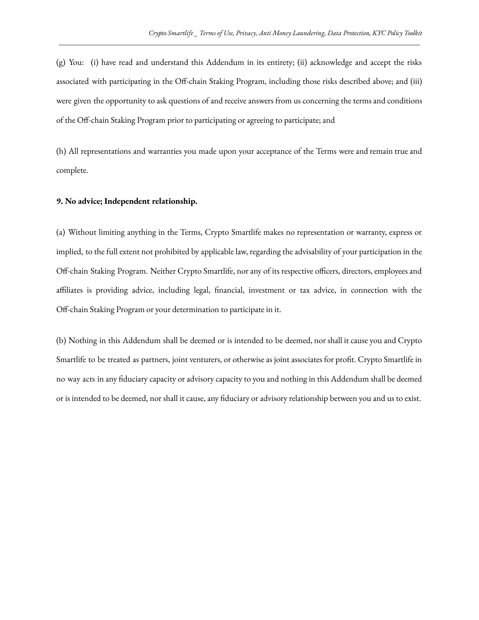(g) You: (i) have read and understand this Addendum in its entirety; (ii) acknowledge and accept the risks associated with participating in the Off-chain Staking Program, including those risks described above; and (iii) were given the opportunity to ask questions of and receive answers from us concerning the terms and conditions of the Off-chain Staking Program prior to participating or agreeing to participate; and

(h) All representations and warranties you made upon your acceptance of the Terms were and remain true and complete.

#### **9. No advice; Independent relationship.**

(a) Without limiting anything in the Terms, Crypto Smartlife makes no representation or warranty, express or implied, to the full extent not prohibited by applicable law, regarding the advisability of your participation in the Off-chain Staking Program. Neither Crypto Smartlife, nor any of its respective officers, directors, employees and affiliates is providing advice, including legal, financial, investment or tax advice, in connection with the Off-chain Staking Program or your determination to participate in it.

(b) Nothing in this Addendum shall be deemed or is intended to be deemed, nor shall it cause you and Crypto Smartlife to be treated as partners, joint venturers, or otherwise as joint associates for profit. Crypto Smartlife in no way acts in any fiduciary capacity or advisory capacity to you and nothing in this Addendum shall be deemed or is intended to be deemed, nor shall it cause, any fiduciary or advisory relationship between you and us to exist.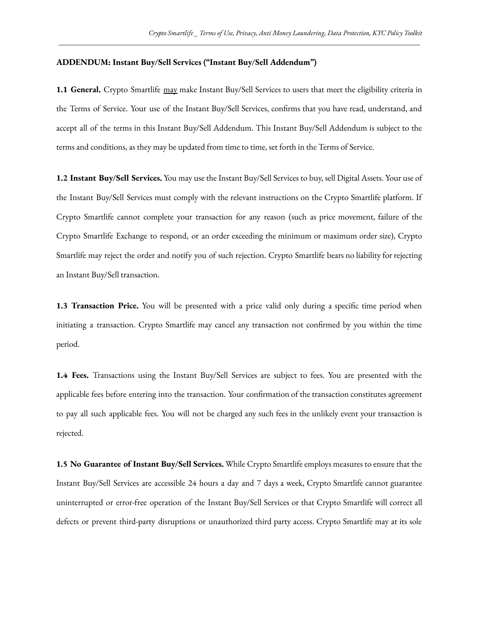### **ADDENDUM: Instant Buy/Sell Services ("Instant Buy/Sell Addendum")**

**1.1 General.** Crypto Smartlife may make Instant Buy/Sell Services to users that meet the eligibility criteria in the Terms of Service. Your use of the Instant Buy/Sell Services, confirms that you have read, understand, and accept all of the terms in this Instant Buy/Sell Addendum. This Instant Buy/Sell Addendum is subject to the terms and conditions, as they may be updated from time to time, set forth in the Terms of Service.

**1.2 Instant Buy/Sell Services.** You may use the Instant Buy/Sell Services to buy, sell Digital Assets. Your use of the Instant Buy/Sell Services must comply with the relevant instructions on the Crypto Smartlife platform. If Crypto Smartlife cannot complete your transaction for any reason (such as price movement, failure of the Crypto Smartlife Exchange to respond, or an order exceeding the minimum or maximum order size), Crypto Smartlife may reject the order and notify you of such rejection. Crypto Smartlife bears no liability for rejecting an Instant Buy/Sell transaction.

**1.3 Transaction Price.** You will be presented with a price valid only during a specific time period when initiating a transaction. Crypto Smartlife may cancel any transaction not confirmed by you within the time period.

**1.4 Fees.** Transactions using the Instant Buy/Sell Services are subject to fees. You are presented with the applicable fees before entering into the transaction. Your confirmation of the transaction constitutes agreement to pay all such applicable fees. You will not be charged any such fees in the unlikely event your transaction is rejected.

**1.5 No Guarantee of Instant Buy/Sell Services.** While Crypto Smartlife employs measures to ensure that the Instant Buy/Sell Services are accessible 24 hours a day and 7 days a week, Crypto Smartlife cannot guarantee uninterrupted or error-free operation of the Instant Buy/Sell Services or that Crypto Smartlife will correct all defects or prevent third-party disruptions or unauthorized third party access. Crypto Smartlife may at its sole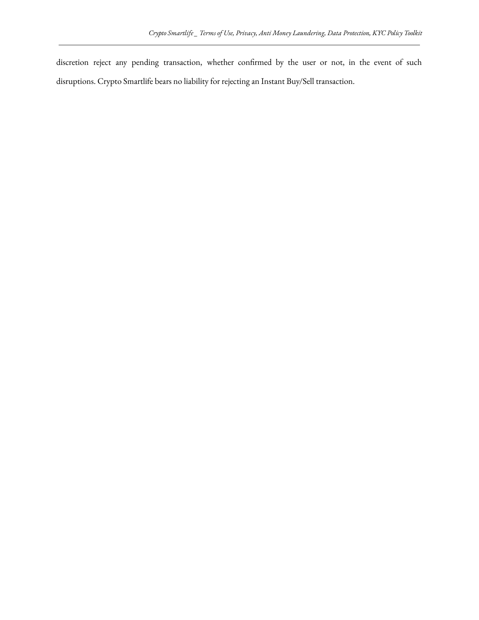discretion reject any pending transaction, whether confirmed by the user or not, in the event of such disruptions. Crypto Smartlife bears no liability for rejecting an Instant Buy/Sell transaction.